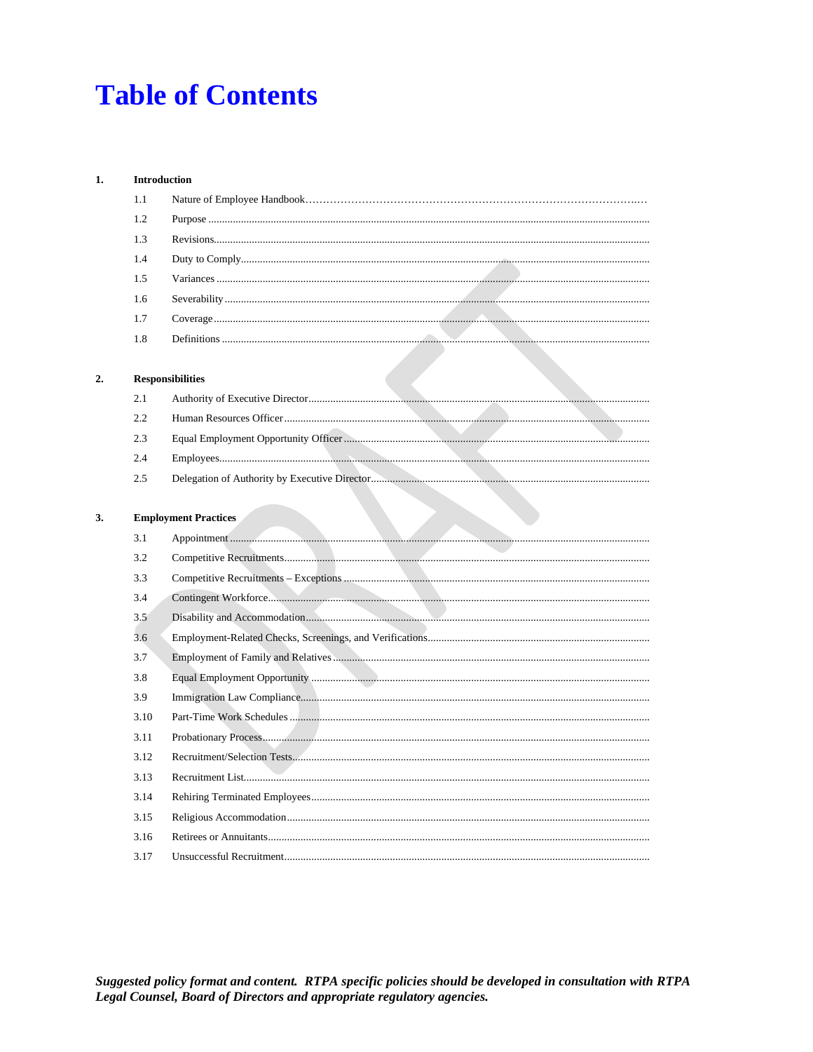### **Table of Contents**

#### $1.$ Introduction

 $2.$ 

 $3.$ 

| 1.1  |                             |  |  |
|------|-----------------------------|--|--|
| 1.2  |                             |  |  |
| 1.3  |                             |  |  |
| 1.4  |                             |  |  |
| 1.5  |                             |  |  |
| 1.6  |                             |  |  |
| 1.7  |                             |  |  |
| 1.8  |                             |  |  |
|      |                             |  |  |
|      | <b>Responsibilities</b>     |  |  |
| 2.1  |                             |  |  |
| 2.2  |                             |  |  |
| 2.3  |                             |  |  |
| 2.4  |                             |  |  |
| 2.5  |                             |  |  |
|      |                             |  |  |
|      | <b>Employment Practices</b> |  |  |
| 3.1  |                             |  |  |
| 3.2  |                             |  |  |
| 3.3  |                             |  |  |
| 3.4  |                             |  |  |
| 3.5  |                             |  |  |
| 3.6  |                             |  |  |
| 3.7  |                             |  |  |
| 3.8  |                             |  |  |
| 3.9  |                             |  |  |
| 3.10 |                             |  |  |
| 3.11 |                             |  |  |
| 3.12 |                             |  |  |
| 3.13 |                             |  |  |
| 3.14 |                             |  |  |
| 3.15 |                             |  |  |
| 3.16 |                             |  |  |
| 3.17 |                             |  |  |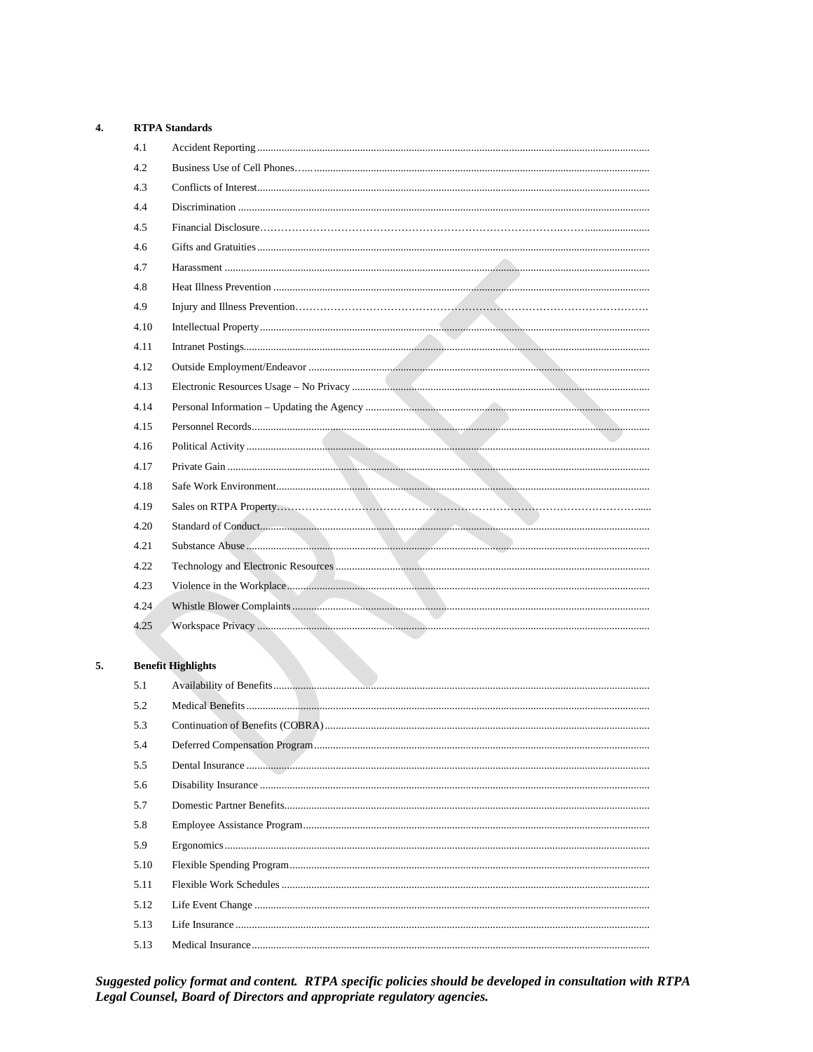#### $\overline{4}$ . **RTPA Standards**

| 4.1  |                           |
|------|---------------------------|
| 4.2  |                           |
| 4.3  |                           |
| 4.4  |                           |
| 4.5  |                           |
| 4.6  |                           |
| 4.7  |                           |
| 4.8  |                           |
| 4.9  |                           |
| 4.10 |                           |
| 4.11 |                           |
| 4.12 |                           |
| 4.13 |                           |
| 4.14 |                           |
| 4.15 |                           |
| 4.16 |                           |
| 4.17 |                           |
| 4.18 |                           |
| 4.19 |                           |
| 4.20 |                           |
| 4.21 |                           |
| 4.22 |                           |
| 4.23 |                           |
| 4.24 |                           |
| 4.25 |                           |
|      |                           |
|      | <b>Benefit Highlights</b> |

#### 5. **Benefit Highlights**

| 5.1  |  |
|------|--|
| 5.2  |  |
| 5.3  |  |
| 5.4  |  |
| 5.5  |  |
| 5.6  |  |
| 5.7  |  |
| 5.8  |  |
| 5.9  |  |
| 5.10 |  |
| 5.11 |  |
| 5.12 |  |
| 5.13 |  |
| 5.13 |  |

Suggested policy format and content. RTPA specific policies should be developed in consultation with RTPA Legal Counsel, Board of Directors and appropriate regulatory agencies.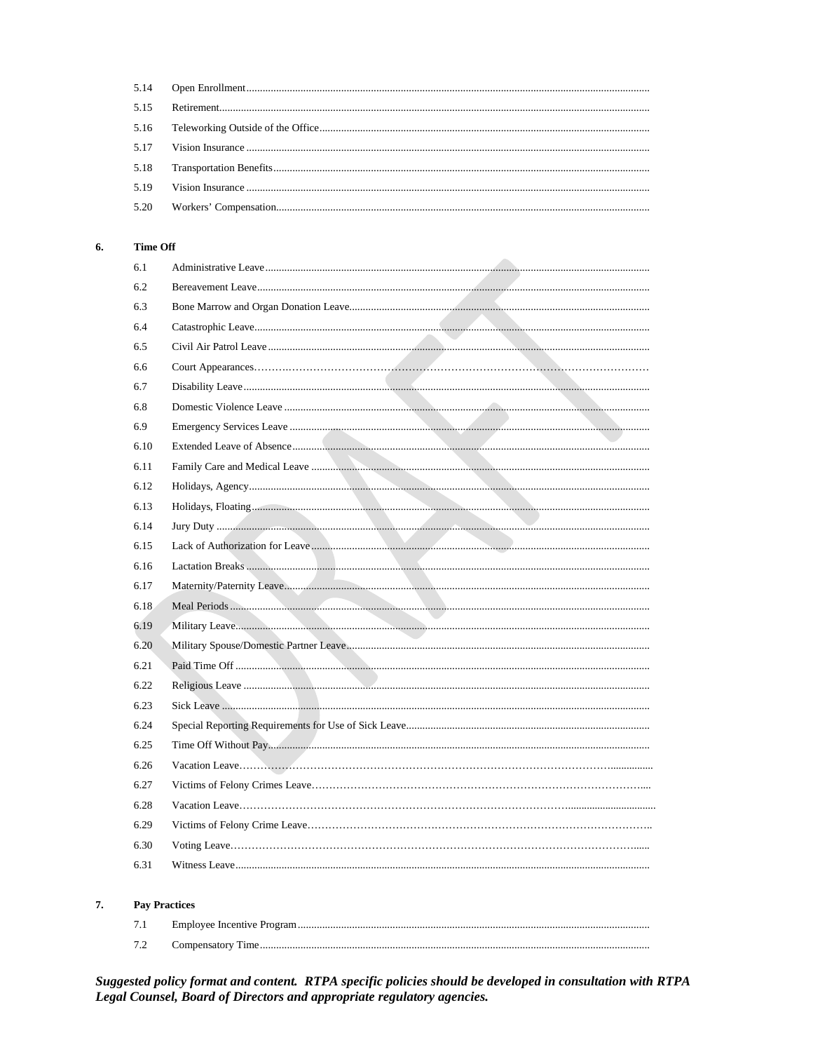| 5.18 |  |
|------|--|
| 5.19 |  |
|      |  |

#### **Time Off** 6.

7.

| 6.1                  |  |
|----------------------|--|
| 6.2                  |  |
| 6.3                  |  |
| 6.4                  |  |
| 6.5                  |  |
| 6.6                  |  |
| 6.7                  |  |
| 6.8                  |  |
| 6.9                  |  |
| 6.10                 |  |
| 6.11                 |  |
| 6.12                 |  |
| 6.13                 |  |
| 6.14                 |  |
| 6.15                 |  |
| 6.16                 |  |
| 6.17                 |  |
| 6.18                 |  |
| 6.19                 |  |
| 6.20                 |  |
| 6.21                 |  |
| 6.22                 |  |
| 6.23                 |  |
| 6.24                 |  |
| 6.25                 |  |
| 6.26                 |  |
| 6.27                 |  |
| 6.28                 |  |
| 6.29                 |  |
| 6.30                 |  |
| 6.31                 |  |
|                      |  |
| <b>Pay Practices</b> |  |

#### $7.1\,$  $7.2$

Suggested policy format and content. RTPA specific policies should be developed in consultation with RTPA Legal Counsel, Board of Directors and appropriate regulatory agencies.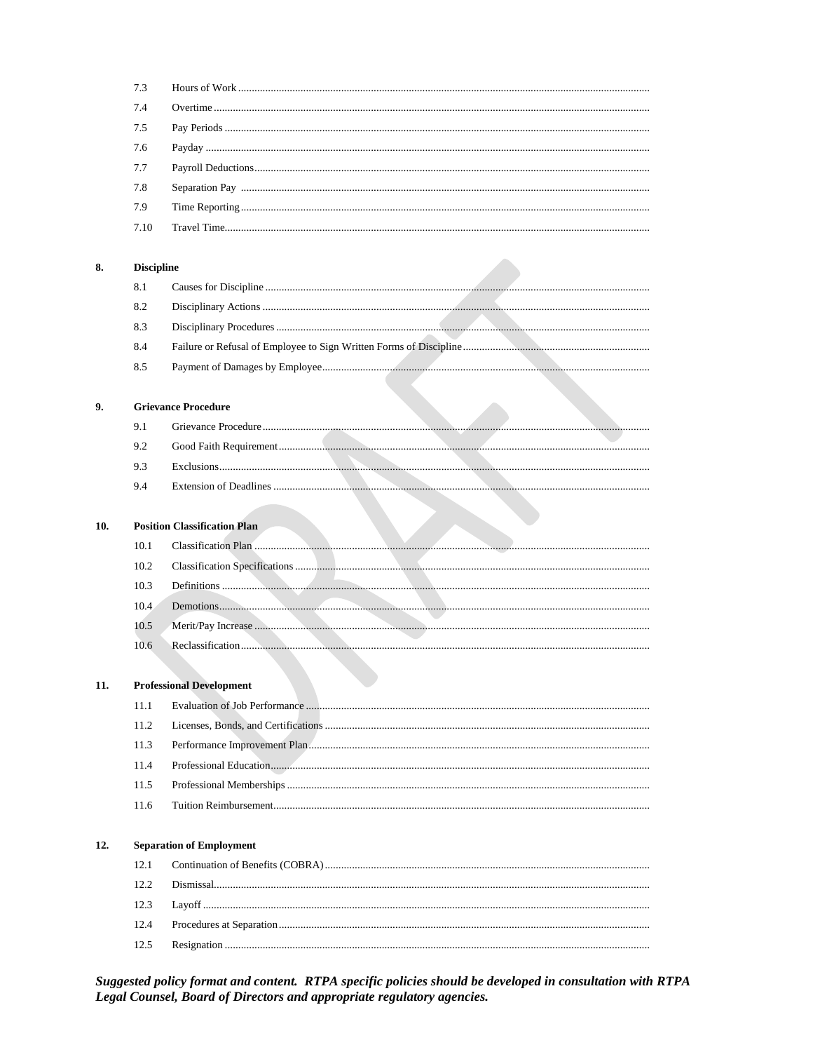|     | 7.3               |                                     |
|-----|-------------------|-------------------------------------|
|     | 7.4               |                                     |
|     | 7.5               |                                     |
|     | 7.6               |                                     |
|     | 7.7               |                                     |
|     | 7.8               |                                     |
|     | 7.9               |                                     |
|     | 7.10              |                                     |
|     |                   |                                     |
| 8.  | <b>Discipline</b> |                                     |
|     | 8.1               |                                     |
|     | 8.2               |                                     |
|     | 8.3               |                                     |
|     | 8.4               |                                     |
|     | 8.5               |                                     |
|     |                   |                                     |
| 9.  |                   | <b>Grievance Procedure</b>          |
|     | 9.1               |                                     |
|     | 9.2               |                                     |
|     | 9.3               |                                     |
|     | 9.4               |                                     |
|     |                   |                                     |
| 10. |                   | <b>Position Classification Plan</b> |
|     | 10.1              |                                     |
|     | 10.2              |                                     |
|     | 10.3              |                                     |
|     | 10.4              |                                     |
|     | 10.5              |                                     |
|     | 10.6              |                                     |
|     |                   |                                     |
| 11. |                   | <b>Professional Development</b>     |
|     | 11.1              |                                     |
|     | 11.2              |                                     |
|     | 11.3              |                                     |
|     | 11.4              |                                     |
|     | 11.5              |                                     |
|     | 11.6              |                                     |
|     |                   |                                     |
| 12. |                   | <b>Separation of Employment</b>     |
|     | 12.1              |                                     |
|     | 12.2              |                                     |
|     | 12.3              |                                     |
|     | 12.4              |                                     |

Suggested policy format and content. RTPA specific policies should be developed in consultation with RTPA Legal Counsel, Board of Directors and appropriate regulatory agencies.

 $12.5$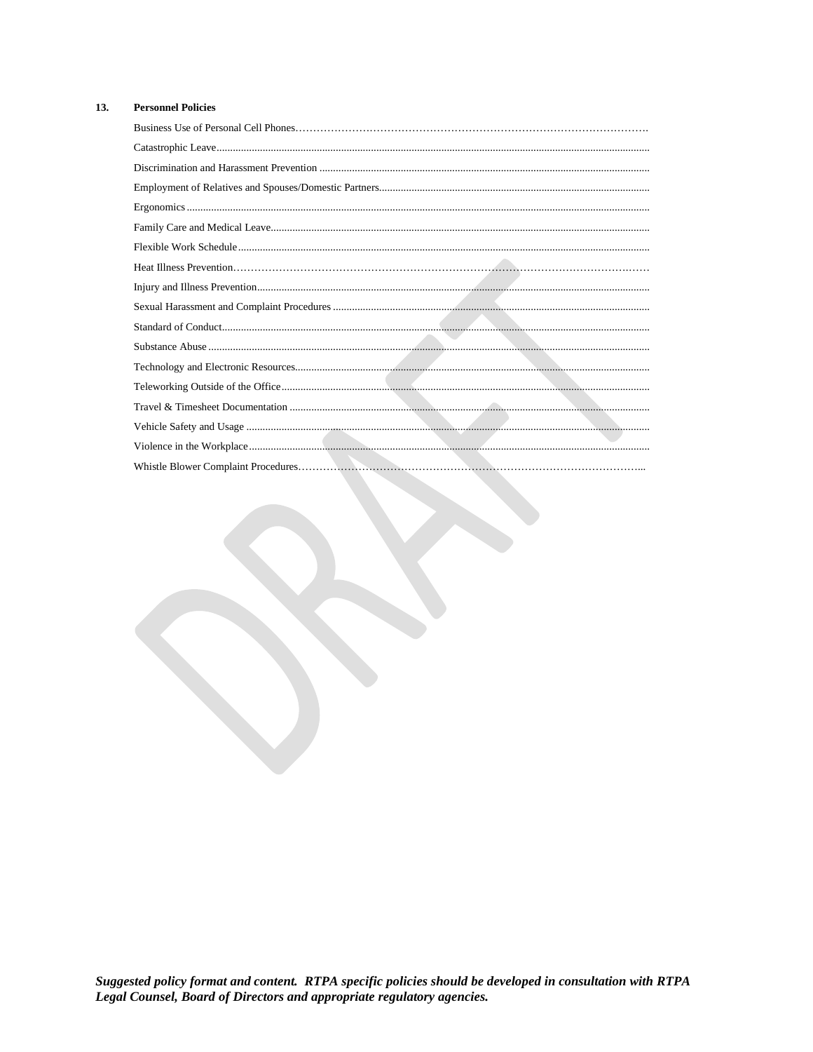#### 13. **Personnel Policies**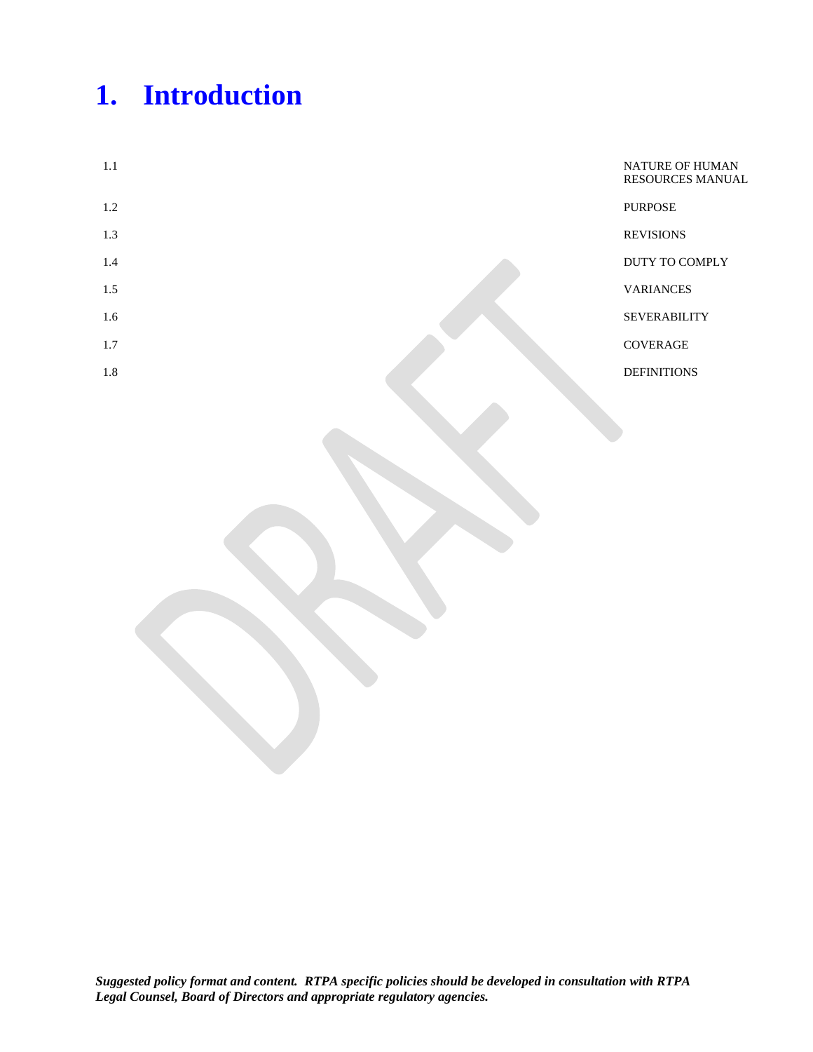# **1. Introduction**

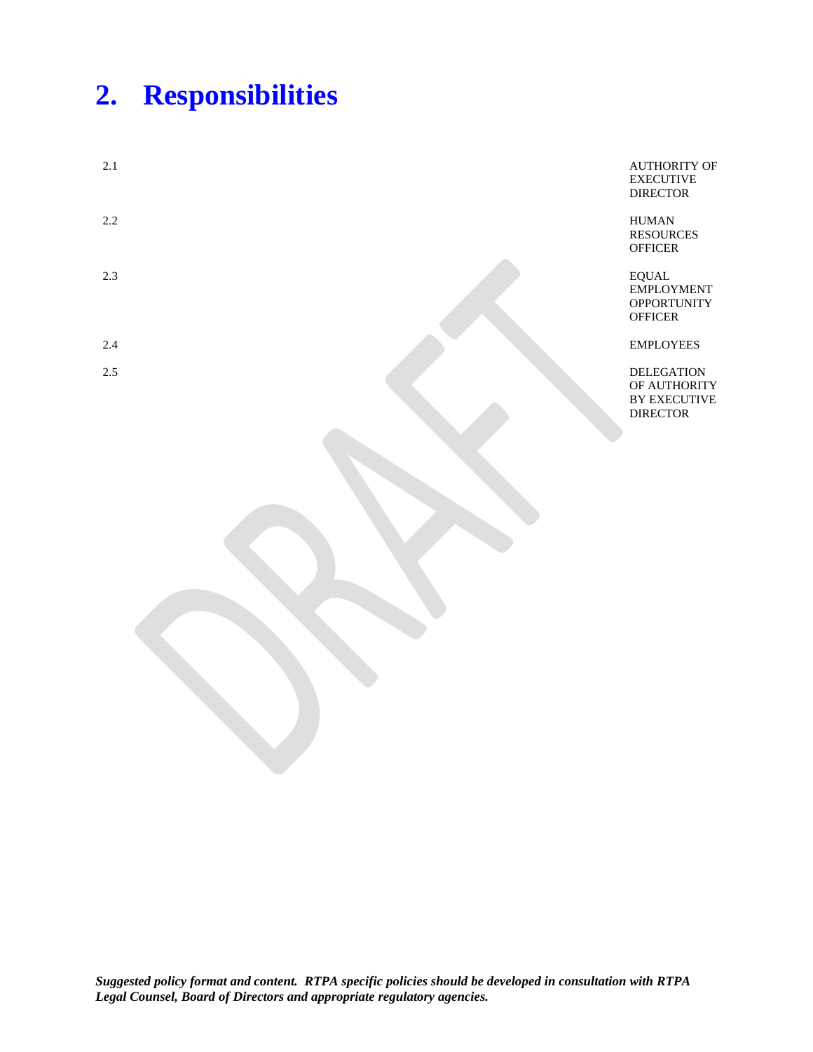## **2. Responsibilities**

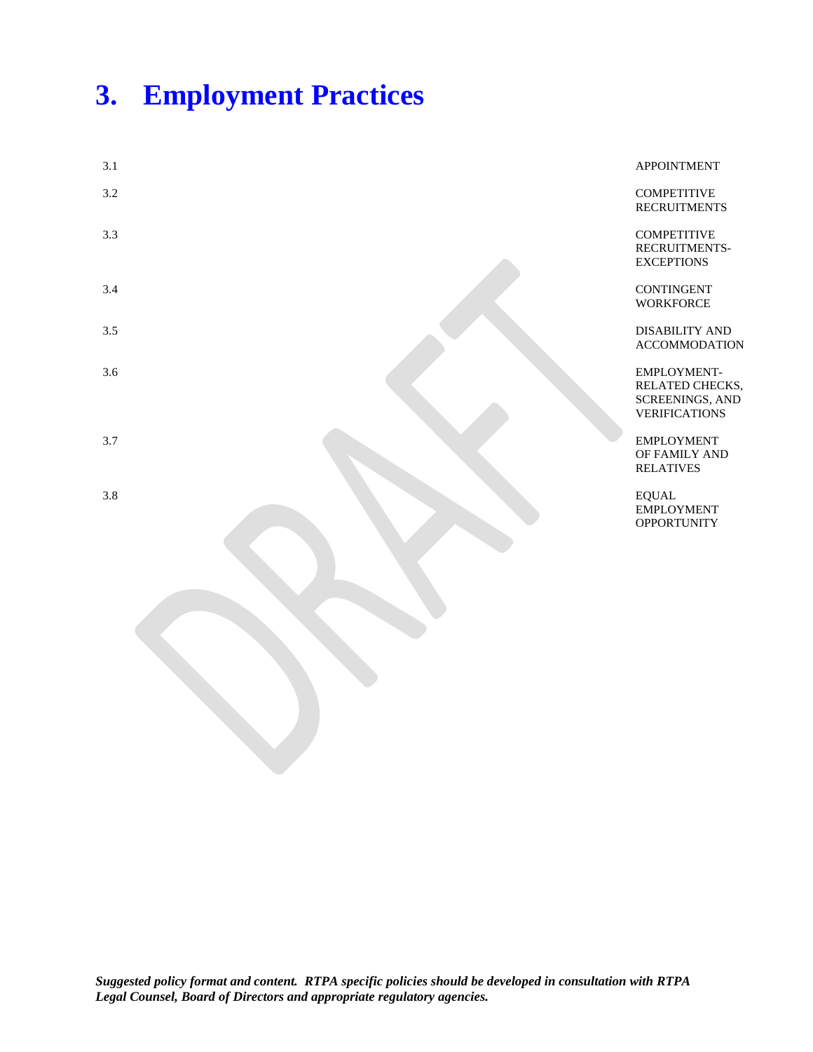## **3. Employment Practices**

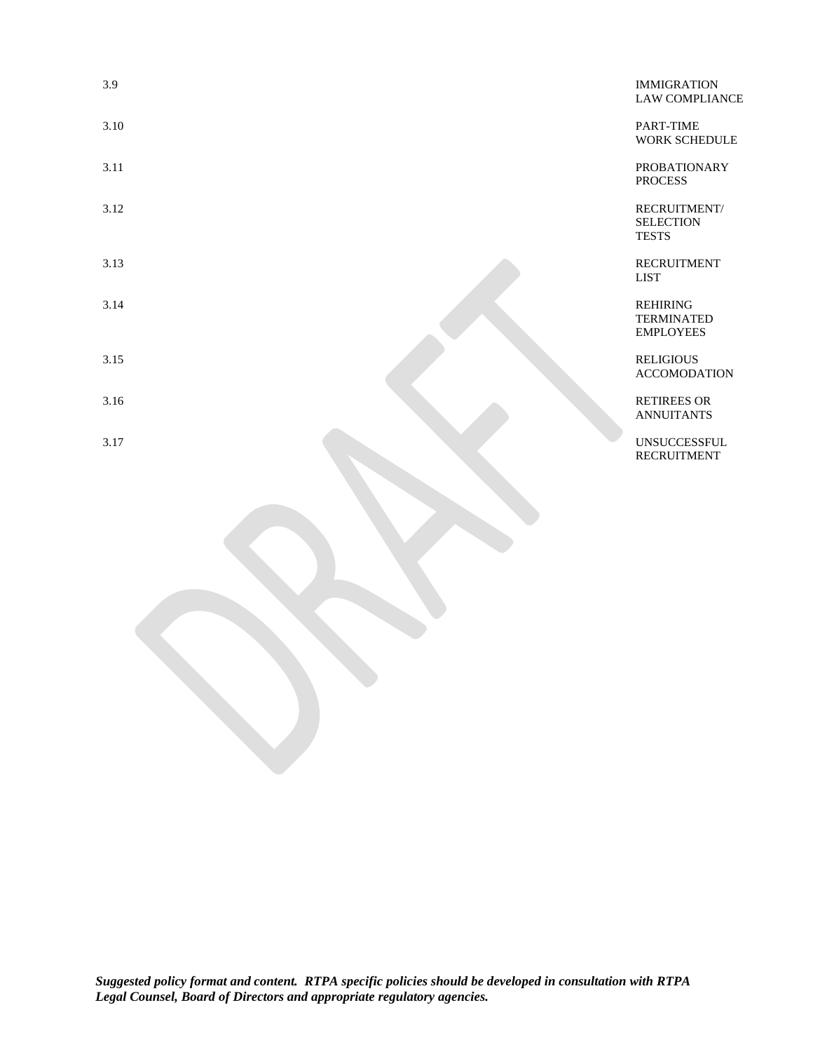| 3.9<br>3.10<br>3.11<br>3.12 | <b>IMMIGRATION</b>                                       |
|-----------------------------|----------------------------------------------------------|
|                             | <b>LAW COMPLIANCE</b>                                    |
|                             | PART-TIME<br>WORK SCHEDULE                               |
|                             | <b>PROBATIONARY</b><br><b>PROCESS</b>                    |
|                             | RECRUITMENT/<br><b>SELECTION</b><br><b>TESTS</b>         |
| 3.13                        | <b>RECRUITMENT</b><br><b>LIST</b>                        |
| 3.14                        | <b>REHIRING</b><br><b>TERMINATED</b><br><b>EMPLOYEES</b> |
| 3.15                        | <b>RELIGIOUS</b><br><b>ACCOMODATION</b>                  |
| 3.16                        | <b>RETIREES OR</b><br><b>ANNUITANTS</b>                  |
| 3.17                        | <b>UNSUCCESSFUL</b><br><b>RECRUITMENT</b>                |
|                             |                                                          |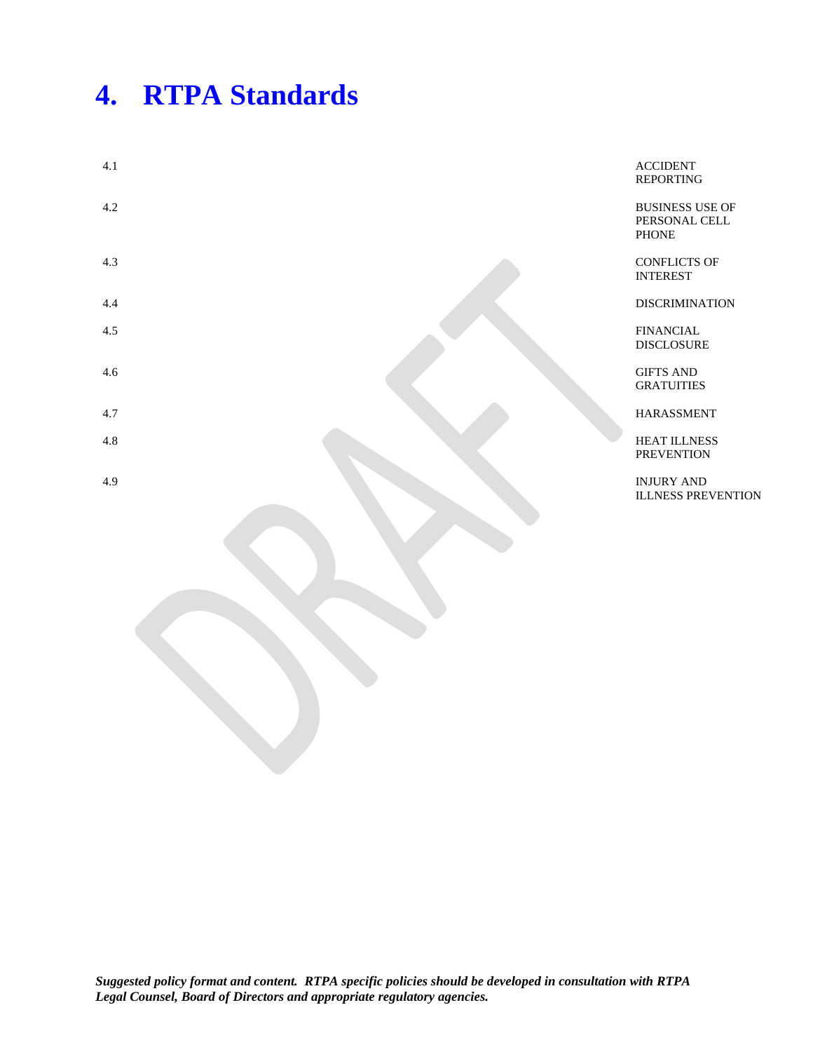## **4. RTPA Standards**

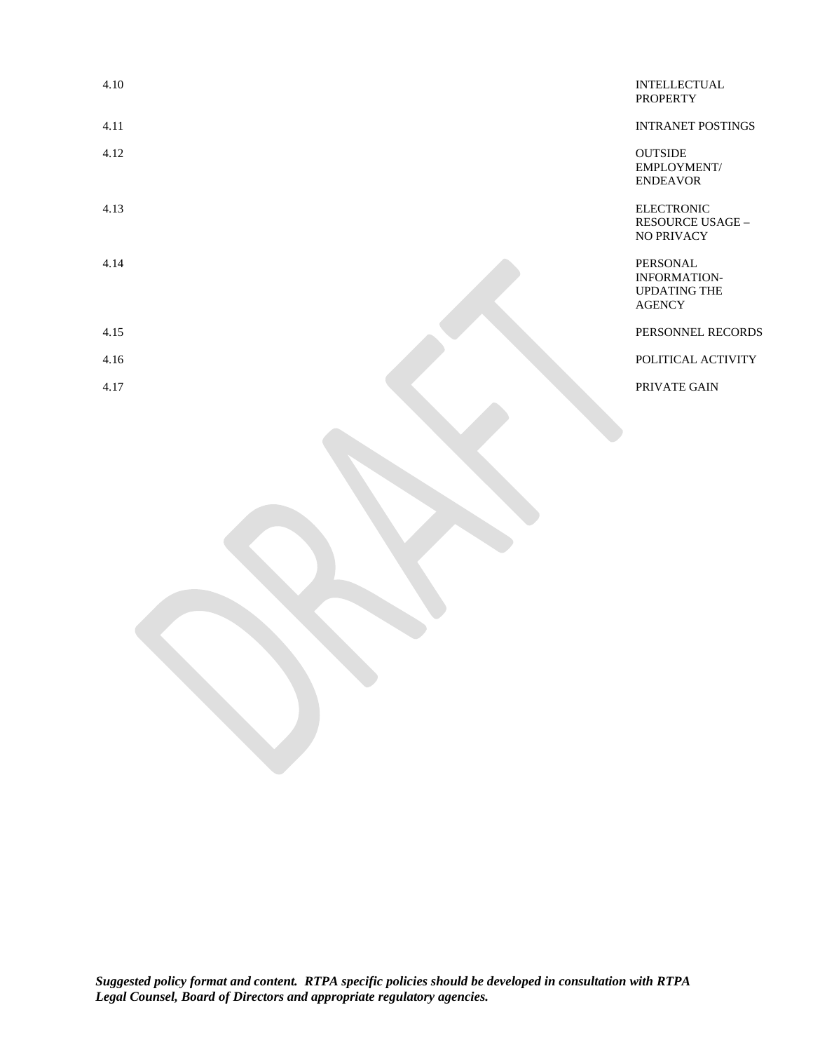| 4.10 | <b>INTELLECTUAL</b><br><b>PROPERTY</b>                                         |
|------|--------------------------------------------------------------------------------|
| 4.11 | <b>INTRANET POSTINGS</b>                                                       |
| 4.12 | <b>OUTSIDE</b><br>EMPLOYMENT/<br><b>ENDEAVOR</b>                               |
| 4.13 | <b>ELECTRONIC</b><br><b>RESOURCE USAGE -</b><br><b>NO PRIVACY</b>              |
| 4.14 | <b>PERSONAL</b><br><b>INFORMATION-</b><br><b>UPDATING THE</b><br><b>AGENCY</b> |
| 4.15 | PERSONNEL RECORDS                                                              |
| 4.16 | POLITICAL ACTIVITY                                                             |
| 4.17 | PRIVATE GAIN                                                                   |
|      |                                                                                |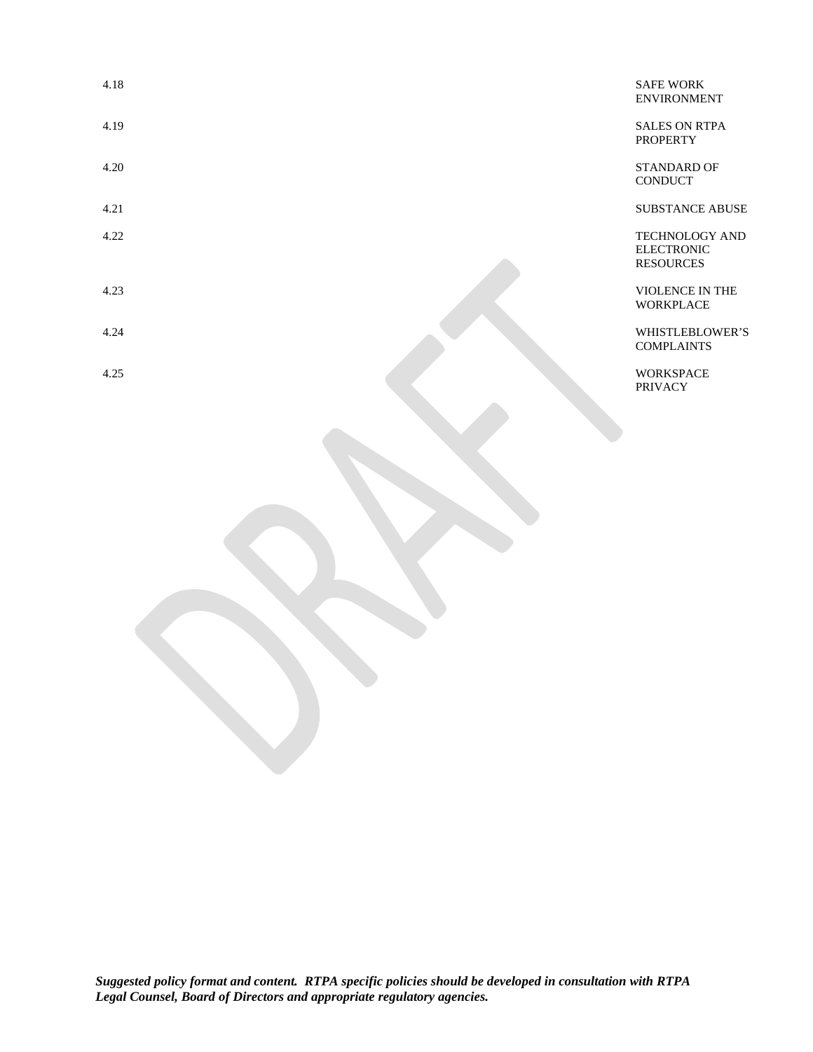| 4.18 | <b>SAFE WORK</b><br><b>ENVIRONMENT</b>                         |
|------|----------------------------------------------------------------|
| 4.19 | <b>SALES ON RTPA</b><br><b>PROPERTY</b>                        |
| 4.20 | <b>STANDARD OF</b><br><b>CONDUCT</b>                           |
| 4.21 | <b>SUBSTANCE ABUSE</b>                                         |
| 4.22 | <b>TECHNOLOGY AND</b><br><b>ELECTRONIC</b><br><b>RESOURCES</b> |
| 4.23 | VIOLENCE IN THE<br><b>WORKPLACE</b>                            |
| 4.24 | WHISTLEBLOWER'S<br><b>COMPLAINTS</b>                           |
| 4.25 | <b>WORKSPACE</b><br><b>PRIVACY</b>                             |
|      |                                                                |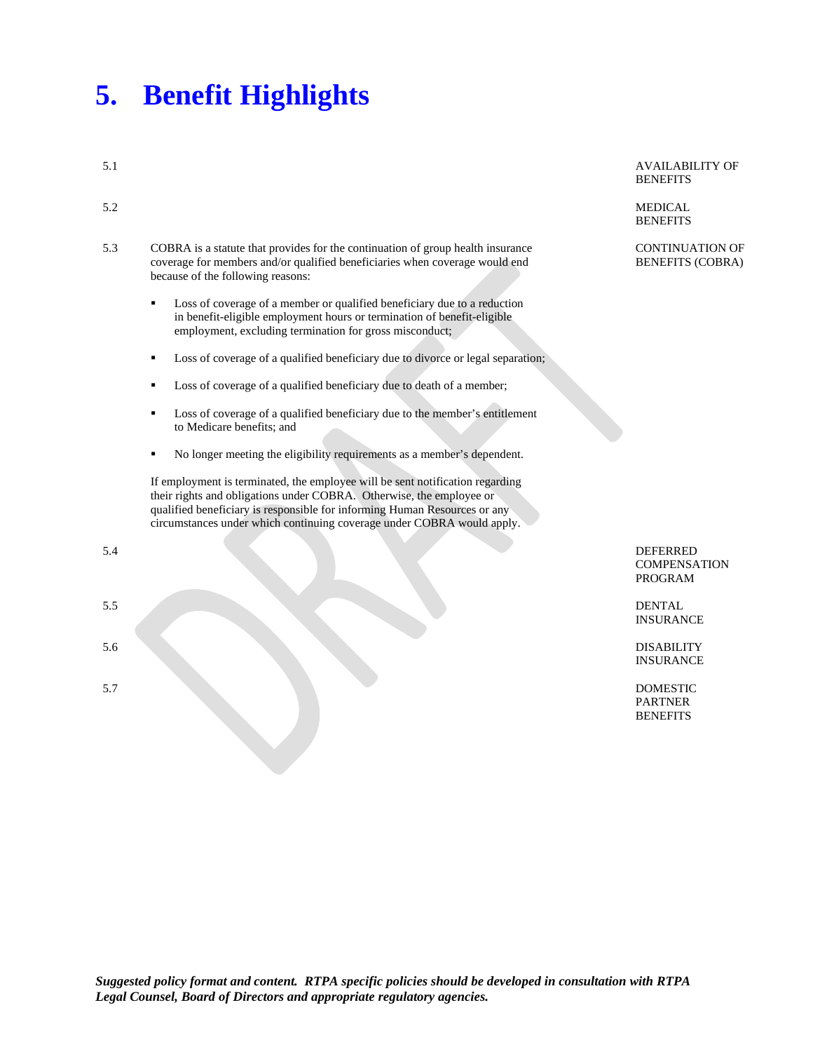#### **5. Benefit Highlights**

- 5.3 COBRA is a statute that provides for the continuation of group health insurance coverage for members and/or qualified beneficiaries when coverage would end because of the following reasons:
	- **Loss of coverage of a member or qualified beneficiary due to a reduction** in benefit-eligible employment hours or termination of benefit-eligible employment, excluding termination for gross misconduct;
	- Loss of coverage of a qualified beneficiary due to divorce or legal separation;
	- Loss of coverage of a qualified beneficiary due to death of a member;
	- Loss of coverage of a qualified beneficiary due to the member's entitlement to Medicare benefits; and
	- No longer meeting the eligibility requirements as a member's dependent.

If employment is terminated, the employee will be sent notification regarding their rights and obligations under COBRA. Otherwise, the employee or qualified beneficiary is responsible for informing Human Resources or any circumstances under which continuing coverage under COBRA would apply.

- 
- 

5.1 AVAILABILITY OF **BENEFITS** 

5.2 MEDICAL **BENEFITS** 

> CONTINUATION OF BENEFITS (COBRA)

5.4 DEFERRED **COMPENSATION** PROGRAM

5.5 DENTAL INSURANCE

5.6 DISABILITY INSURANCE

5.7 DOMESTIC PARTNER **BENEFITS**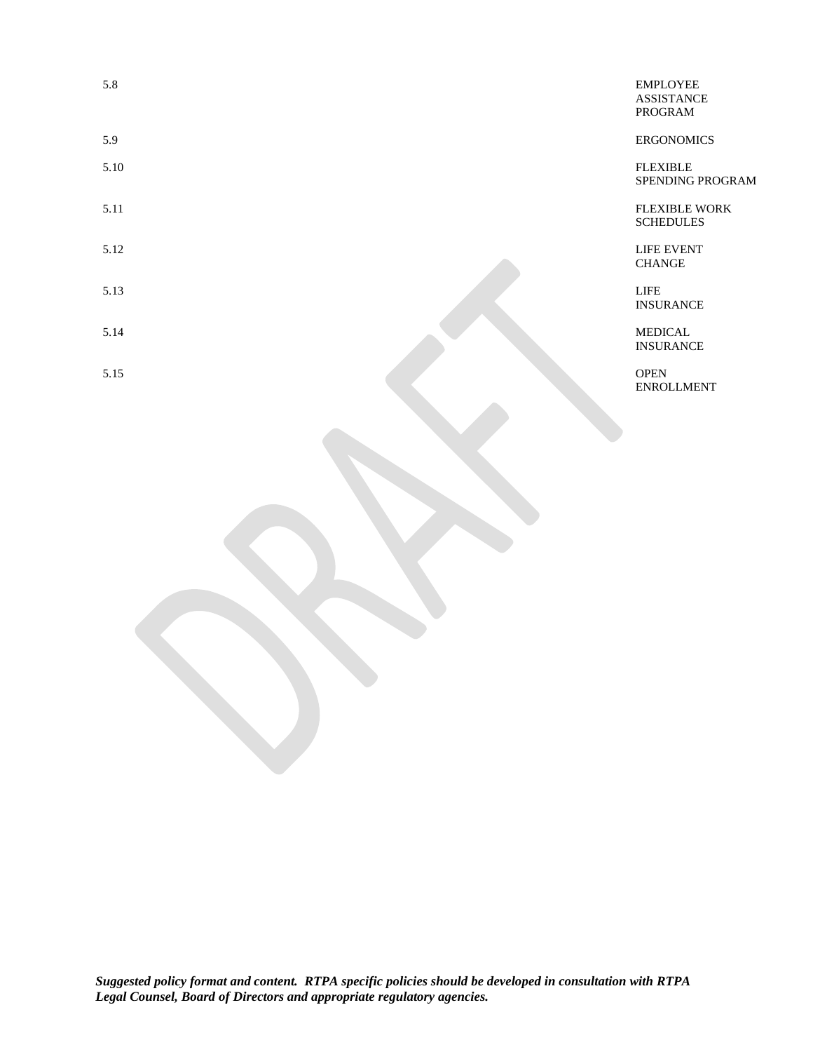5.15 OPEN OPEN CONTRACT CONTRACT ON CONTRACT CONTRACT CONTRACT CONTRACT CONTRACT CONTRACT CONTRACT CONTRACT CONTRACT CONTRACT CONTRACT CONTRACT CONTRACT CONTRACT CONTRACT CONTRACT CONTRACT CONTRACT CONTRACT CONTRACT CONTRA ENROLLMENT

5.8 EMPLOYEE ASSISTANCE PROGRAM

5.9 ERGONOMICS

5.10 FLEXIBLE SPENDING PROGRAM

5.11 **FLEXIBLE WORK** SCHEDULES

5.12 LIFE EVENT CHANGE

5.13 LIFE INSURANCE

5.14 MEDICAL INSURANCE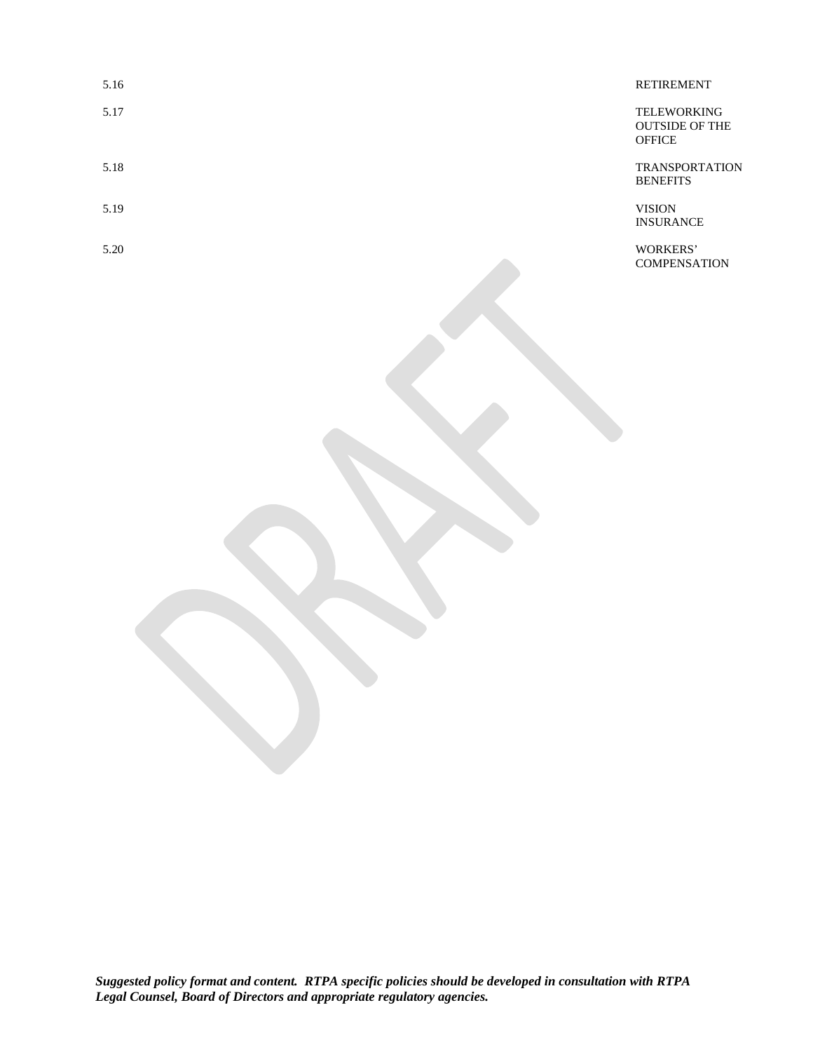| 5.16 | <b>RETIREMENT</b>                                            |
|------|--------------------------------------------------------------|
| 5.17 | <b>TELEWORKING</b><br><b>OUTSIDE OF THE</b><br><b>OFFICE</b> |
| 5.18 | <b>TRANSPORTATION</b><br><b>BENEFITS</b>                     |
| 5.19 | <b>VISION</b><br><b>INSURANCE</b>                            |
| 5.20 | WORKERS'                                                     |

COMPENSATION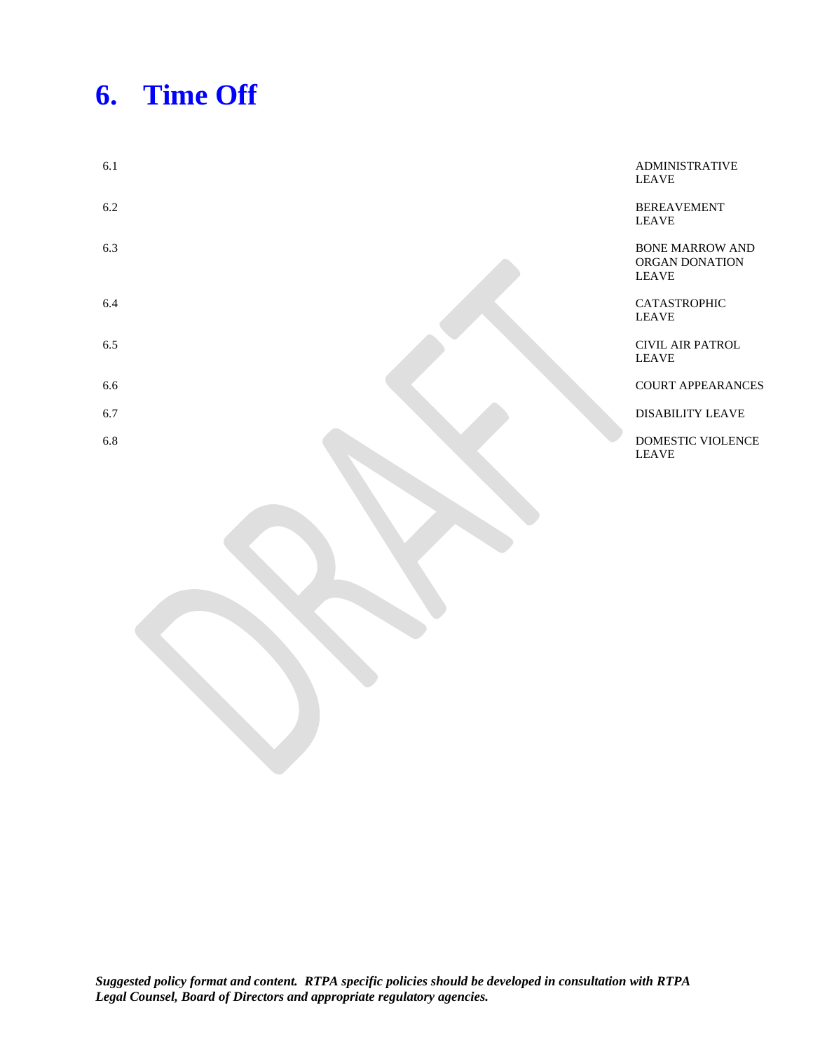# **6. Time Off**

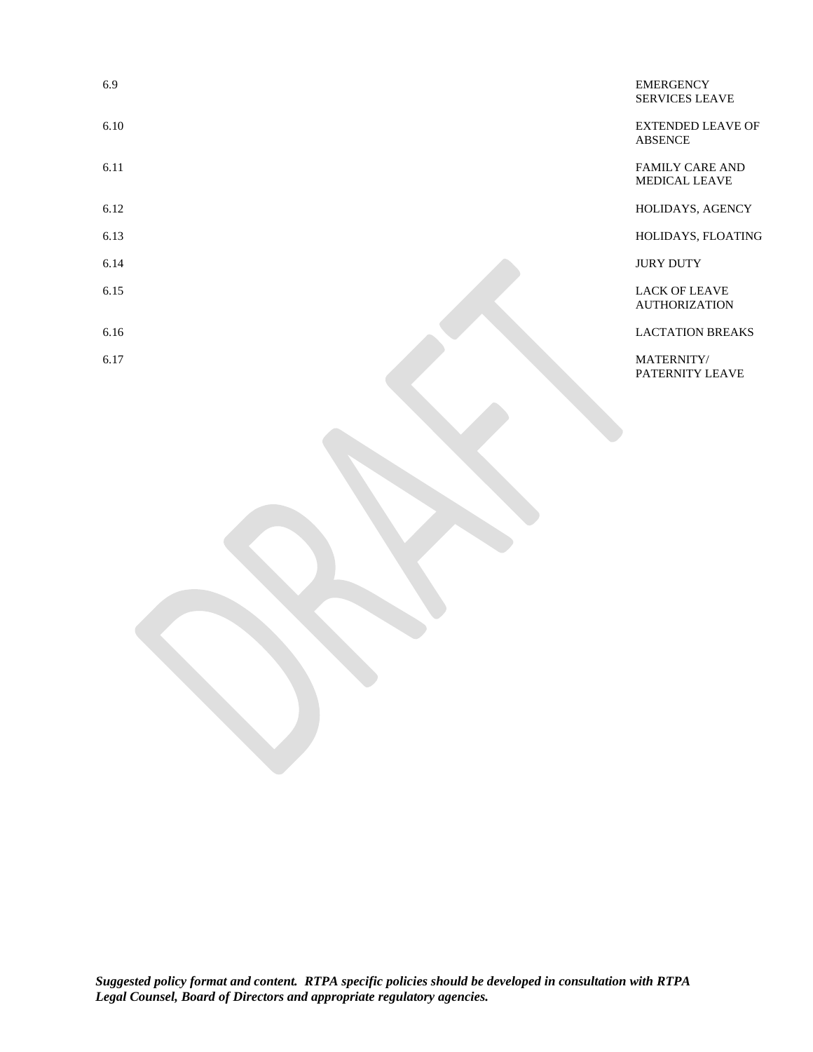| 6.9  | <b>EMERGENCY</b><br><b>SERVICES LEAVE</b>      |
|------|------------------------------------------------|
| 6.10 | <b>EXTENDED LEAVE OF</b><br><b>ABSENCE</b>     |
| 6.11 | <b>FAMILY CARE AND</b><br><b>MEDICAL LEAVE</b> |
| 6.12 | HOLIDAYS, AGENCY                               |
| 6.13 | HOLIDAYS, FLOATING                             |
| 6.14 | <b>JURY DUTY</b>                               |
| 6.15 | <b>LACK OF LEAVE</b><br><b>AUTHORIZATION</b>   |
| 6.16 | <b>LACTATION BREAKS</b>                        |
| 6.17 | MATERNITY/<br>PATERNITY LEAVE                  |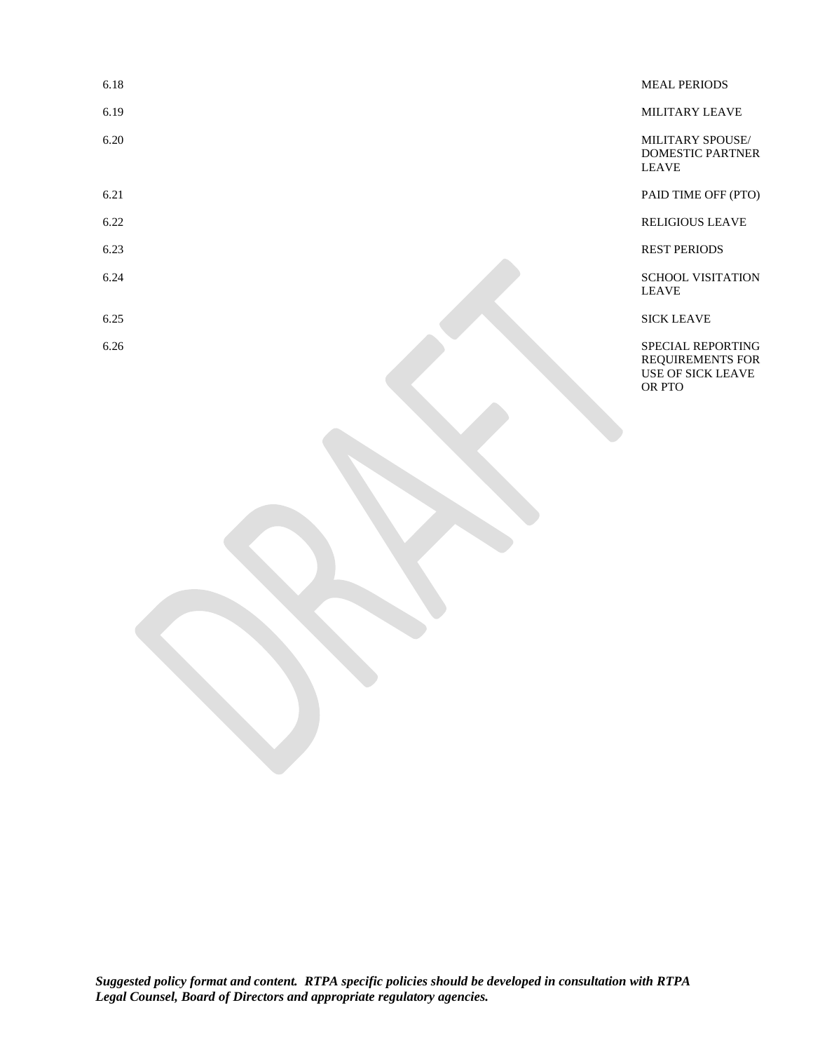| 6.18 | <b>MEAL PERIODS</b>                                                                |
|------|------------------------------------------------------------------------------------|
| 6.19 | MILITARY LEAVE                                                                     |
| 6.20 | MILITARY SPOUSE/<br><b>DOMESTIC PARTNER</b><br><b>LEAVE</b>                        |
| 6.21 | PAID TIME OFF (PTO)                                                                |
| 6.22 | <b>RELIGIOUS LEAVE</b>                                                             |
| 6.23 | <b>REST PERIODS</b>                                                                |
| 6.24 | <b>SCHOOL VISITATION</b><br><b>LEAVE</b>                                           |
| 6.25 | <b>SICK LEAVE</b>                                                                  |
| 6.26 | SPECIAL REPORTING<br><b>REQUIREMENTS FOR</b><br><b>USE OF SICK LEAVE</b><br>OR PTO |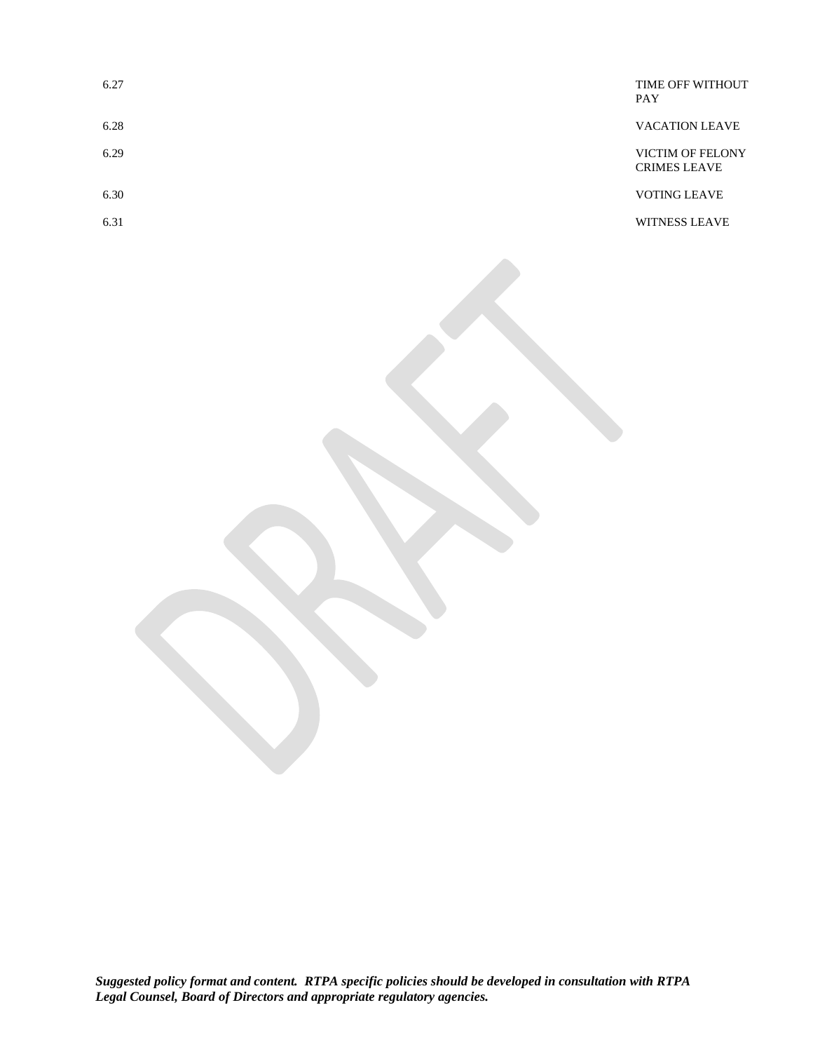| 6.27 | TIME OFF WITHOUT<br><b>PAY</b>                 |
|------|------------------------------------------------|
| 6.28 | <b>VACATION LEAVE</b>                          |
| 6.29 | <b>VICTIM OF FELONY</b><br><b>CRIMES LEAVE</b> |
| 6.30 | <b>VOTING LEAVE</b>                            |
| 6.31 | <b>WITNESS LEAVE</b>                           |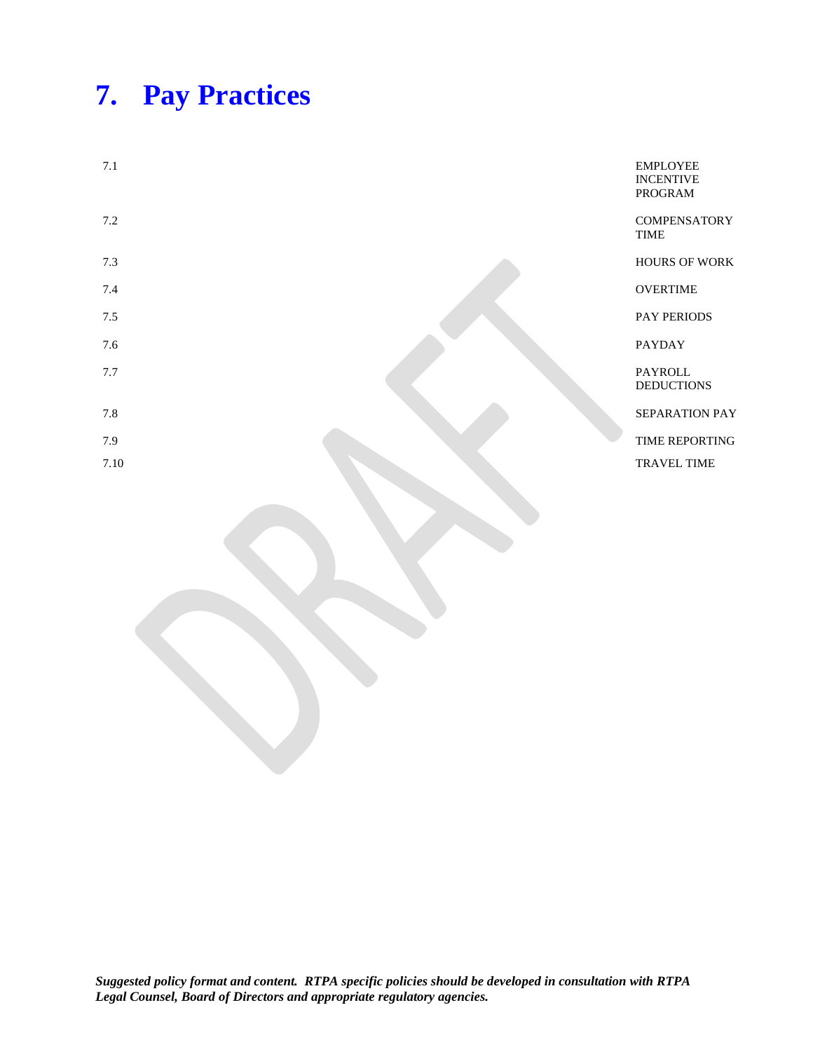## **7. Pay Practices**

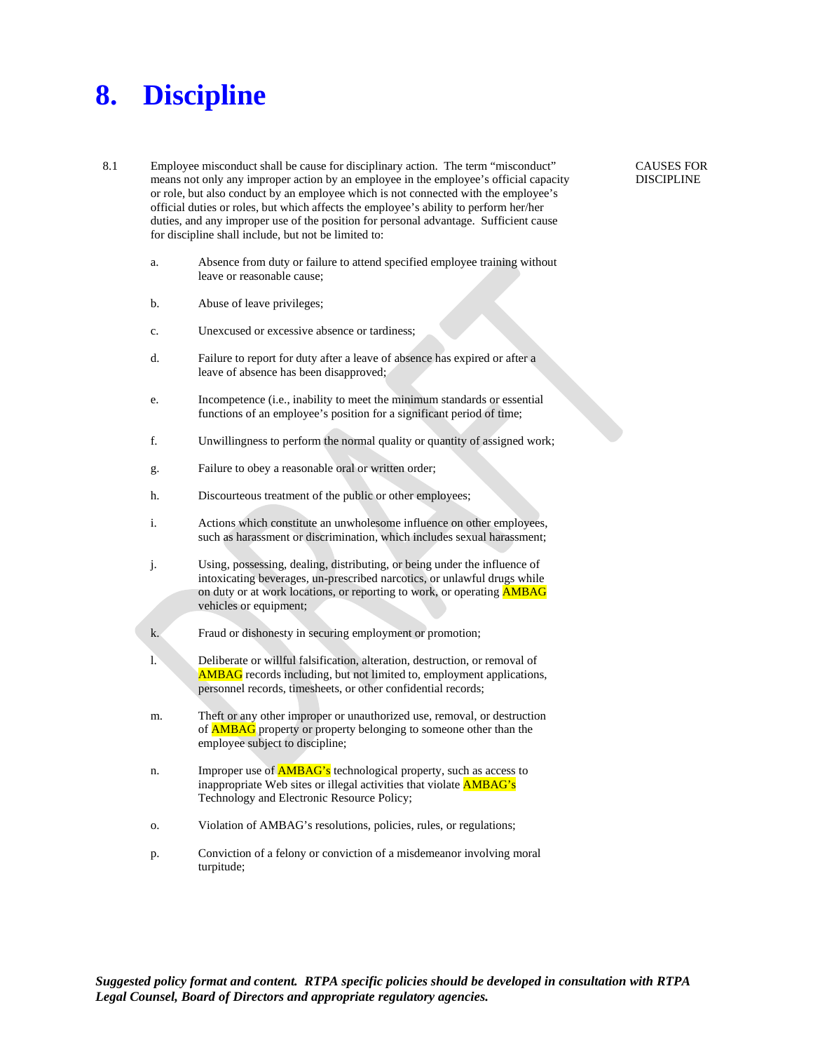#### **8. Discipline**

- 8.1 Employee misconduct shall be cause for disciplinary action. The term "misconduct" means not only any improper action by an employee in the employee's official capacity or role, but also conduct by an employee which is not connected with the employee's official duties or roles, but which affects the employee's ability to perform her/her duties, and any improper use of the position for personal advantage. Sufficient cause for discipline shall include, but not be limited to:
	- a. Absence from duty or failure to attend specified employee training without leave or reasonable cause;
	- b. Abuse of leave privileges;
	- c. Unexcused or excessive absence or tardiness;
	- d. Failure to report for duty after a leave of absence has expired or after a leave of absence has been disapproved;
	- e. Incompetence (i.e., inability to meet the minimum standards or essential functions of an employee's position for a significant period of time;
	- f. Unwillingness to perform the normal quality or quantity of assigned work;
	- g. Failure to obey a reasonable oral or written order;
	- h. Discourteous treatment of the public or other employees;
	- i. Actions which constitute an unwholesome influence on other employees, such as harassment or discrimination, which includes sexual harassment;
	- j. Using, possessing, dealing, distributing, or being under the influence of intoxicating beverages, un-prescribed narcotics, or unlawful drugs while on duty or at work locations, or reporting to work, or operating **AMBAG** vehicles or equipment;
	- k. Fraud or dishonesty in securing employment or promotion;
	- l. Deliberate or willful falsification, alteration, destruction, or removal of AMBAG records including, but not limited to, employment applications, personnel records, timesheets, or other confidential records;
	- m. Theft or any other improper or unauthorized use, removal, or destruction of **AMBAG** property or property belonging to someone other than the employee subject to discipline;
	- n. Improper use of **AMBAG's** technological property, such as access to inappropriate Web sites or illegal activities that violate AMBAG's Technology and Electronic Resource Policy;
	- o. Violation of AMBAG's resolutions, policies, rules, or regulations;
	- p. Conviction of a felony or conviction of a misdemeanor involving moral turpitude;

CAUSES FOR DISCIPLINE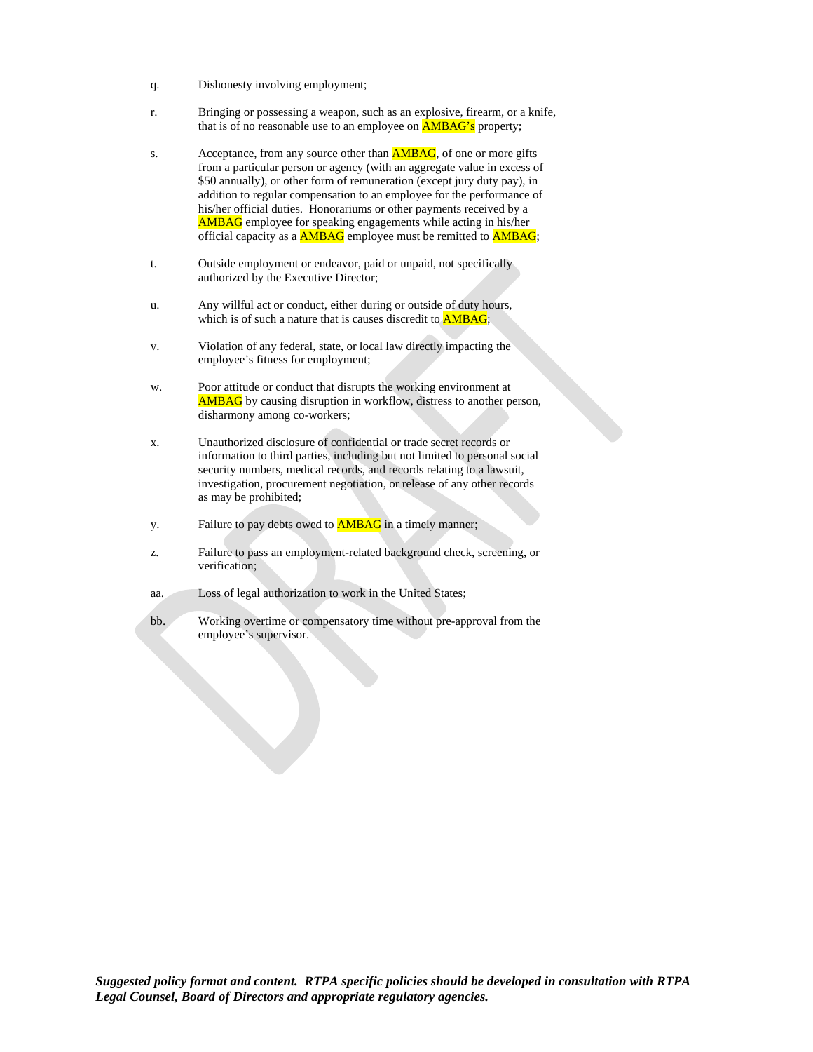- q. Dishonesty involving employment;
- r. Bringing or possessing a weapon, such as an explosive, firearm, or a knife, that is of no reasonable use to an employee on **AMBAG's** property;
- s. Acceptance, from any source other than **AMBAG**, of one or more gifts from a particular person or agency (with an aggregate value in excess of \$50 annually), or other form of remuneration (except jury duty pay), in addition to regular compensation to an employee for the performance of his/her official duties. Honorariums or other payments received by a AMBAG employee for speaking engagements while acting in his/her official capacity as a AMBAG employee must be remitted to AMBAG;
- t. Outside employment or endeavor, paid or unpaid, not specifically authorized by the Executive Director;
- u. Any willful act or conduct, either during or outside of duty hours, which is of such a nature that is causes discredit to **AMBAG**;
- v. Violation of any federal, state, or local law directly impacting the employee's fitness for employment;
- w. Poor attitude or conduct that disrupts the working environment at AMBAG by causing disruption in workflow, distress to another person, disharmony among co-workers;
- x. Unauthorized disclosure of confidential or trade secret records or information to third parties, including but not limited to personal social security numbers, medical records, and records relating to a lawsuit, investigation, procurement negotiation, or release of any other records as may be prohibited;
- y. Failure to pay debts owed to **AMBAG** in a timely manner;
- z. Failure to pass an employment-related background check, screening, or verification;
- aa. Loss of legal authorization to work in the United States;
- bb. Working overtime or compensatory time without pre-approval from the employee's supervisor.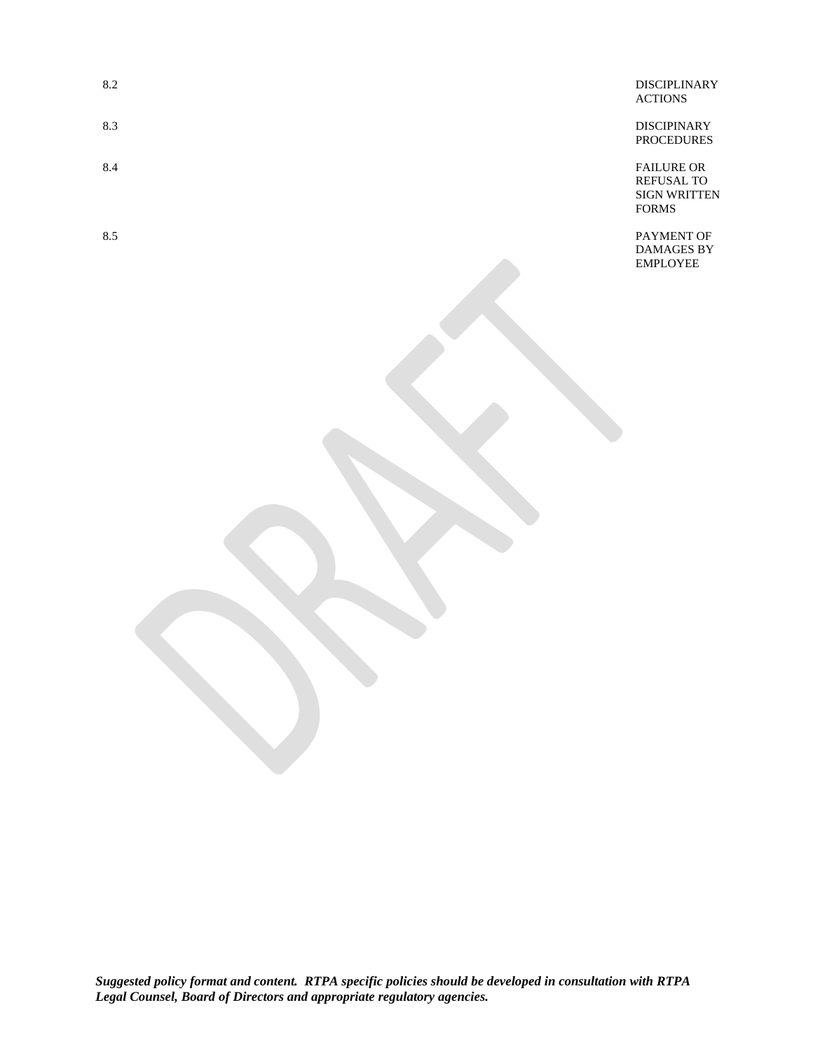| 8.2 | <b>DISCIPLINARY</b> |
|-----|---------------------|
|     | <b>ACTIONS</b>      |

8.3 DISCIPINARY PROCEDURES

8.4 FAILURE OR REFUSAL TO SIGN WRITTEN FORMS

8.5 PAYMENT OF DAMAGES BY EMPLOYEE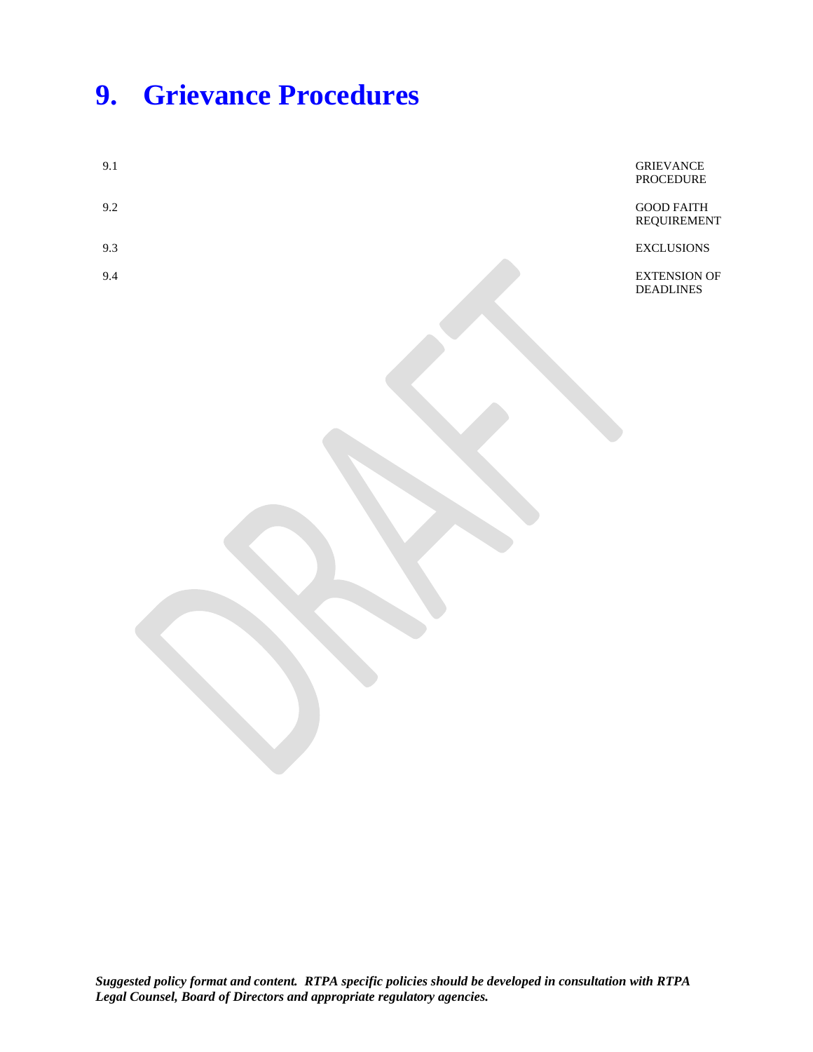### **9. Grievance Procedures**

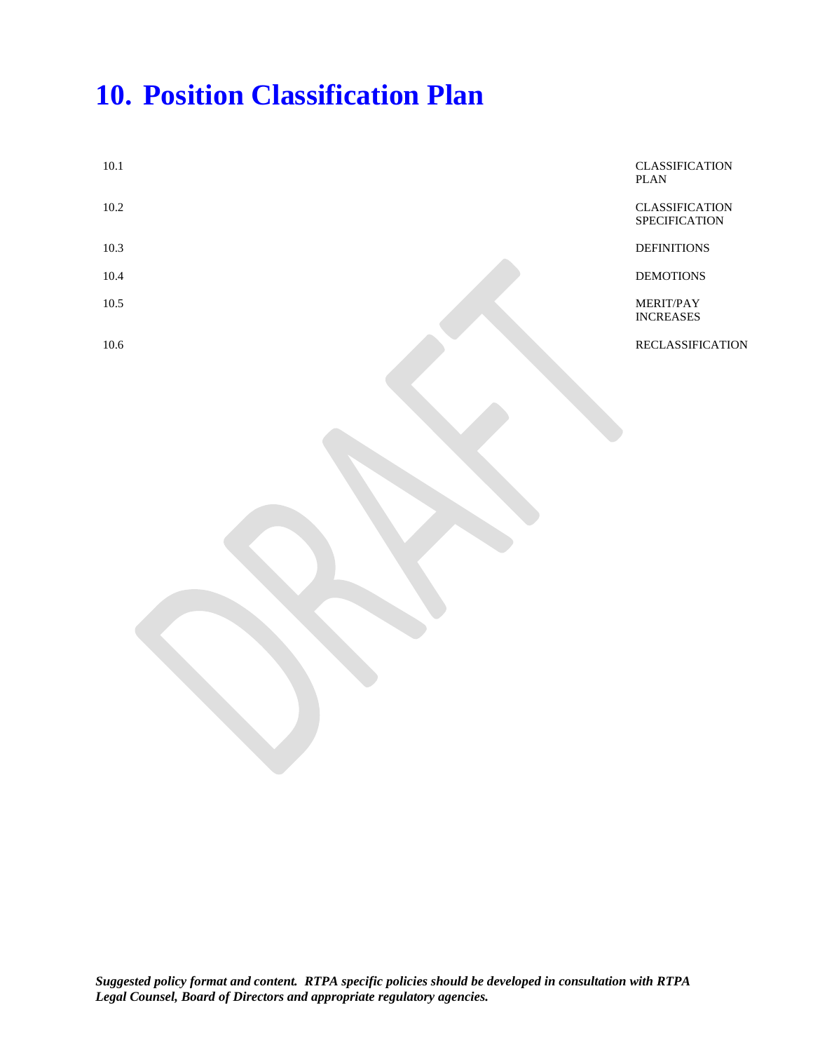### **10. Position Classification Plan**

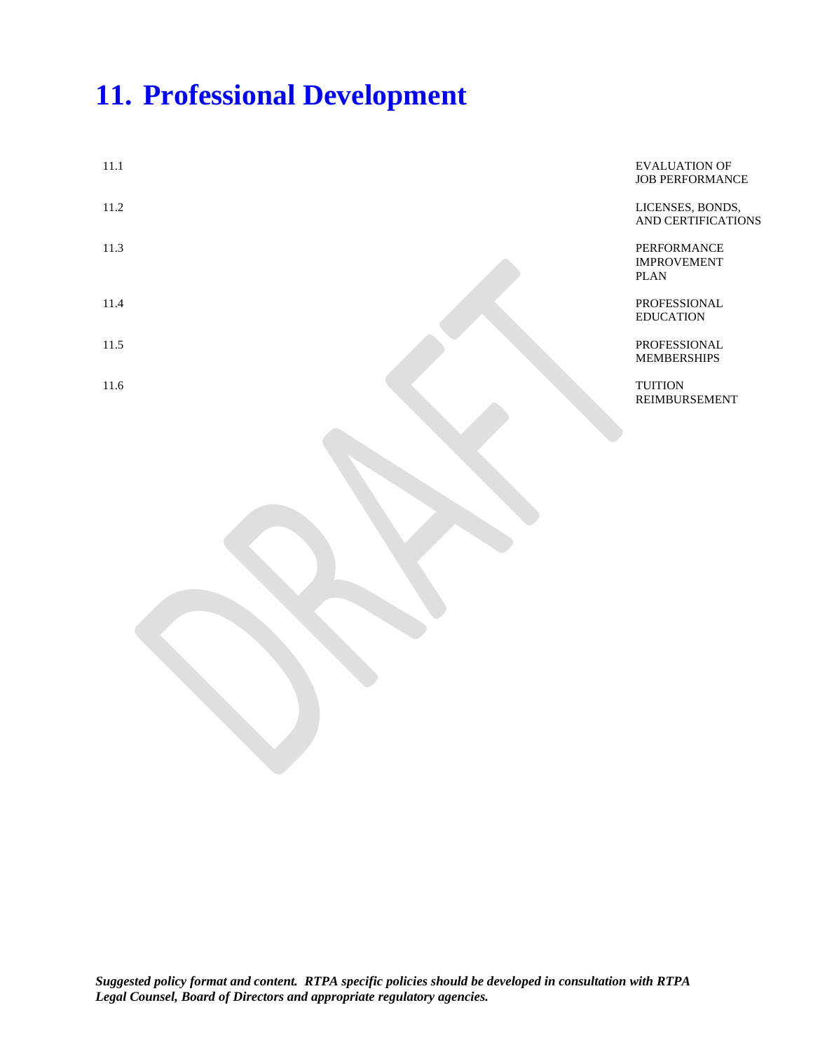### **11. Professional Development**

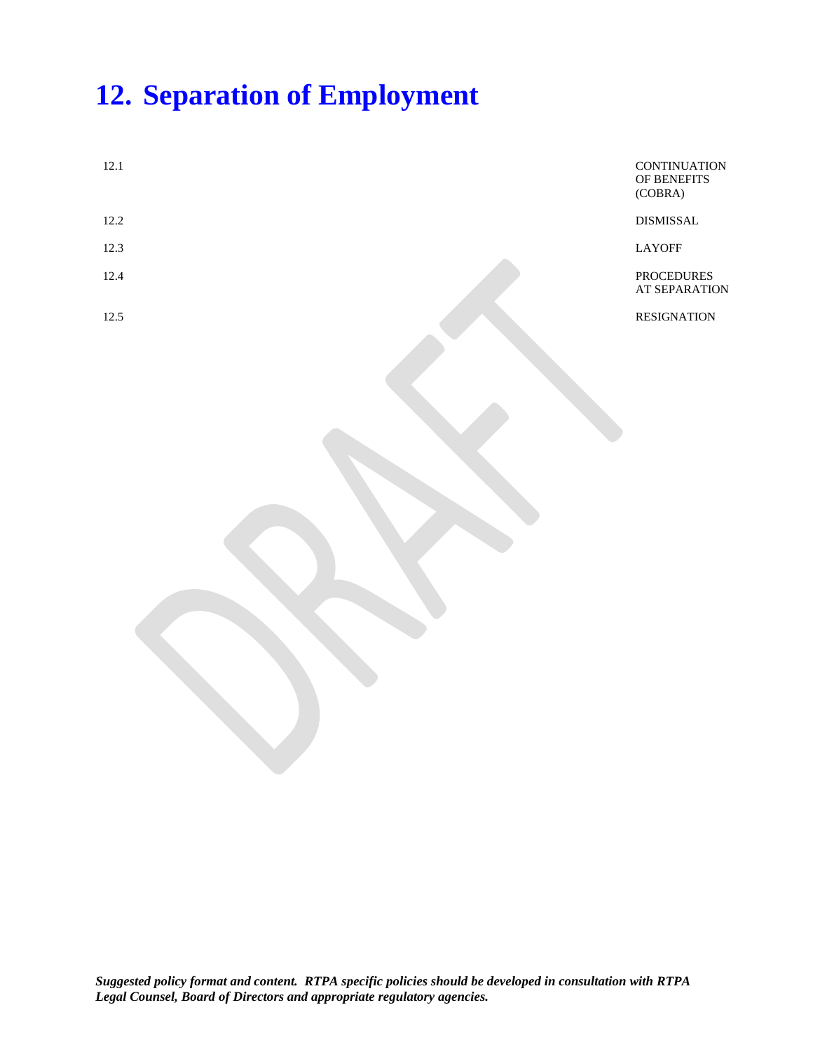## **12. Separation of Employment**